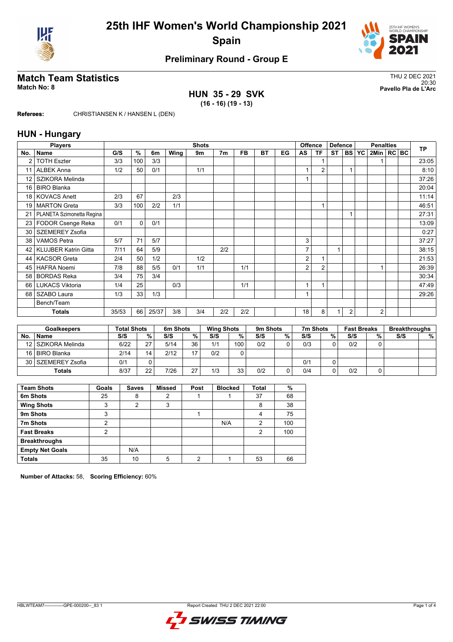



## **Preliminary Round - Group E**

## **Match Team Statistics** Thus and the statistics of the statistics of the statistics of the statistics of the statistics of the statistics of the statistics of the statistics of the statistics of the statistics of the stati

**HUN 35 - 29 SVK (16 - 16) (19 - 13)**

20:30 **Match No: 8 Pavello Pla de L'Arc**

**Referees:** CHRISTIANSEN K / HANSEN L (DEN)

### **HUN - Hungary**

|                 | <b>Players</b>              | <b>Shots</b> |          |       |      |     |                |           |           |    | <b>Offence</b><br><b>Defence</b> |                |           | <b>Penalties</b> |           |                |  | <b>TP</b> |       |
|-----------------|-----------------------------|--------------|----------|-------|------|-----|----------------|-----------|-----------|----|----------------------------------|----------------|-----------|------------------|-----------|----------------|--|-----------|-------|
| No.             | <b>Name</b>                 | G/S          | %        | 6m    | Wing | 9m  | 7 <sub>m</sub> | <b>FB</b> | <b>BT</b> | EG | AS                               | <b>TF</b>      | <b>ST</b> | <b>BS</b>        | <b>YC</b> | 2Min   RC   BC |  |           |       |
| $\overline{2}$  | <b>TOTH Eszter</b>          | 3/3          | 100      | 3/3   |      |     |                |           |           |    |                                  |                |           |                  |           |                |  |           | 23:05 |
| 11              | <b>ALBEK Anna</b>           | 1/2          | 50       | 0/1   |      | 1/1 |                |           |           |    |                                  | $\overline{2}$ |           |                  |           |                |  |           | 8:10  |
| 12              | SZIKORA Melinda             |              |          |       |      |     |                |           |           |    |                                  |                |           |                  |           |                |  |           | 37:26 |
| 16              | <b>BIRO Blanka</b>          |              |          |       |      |     |                |           |           |    |                                  |                |           |                  |           |                |  |           | 20:04 |
| 18 <sup>1</sup> | <b>KOVACS Anett</b>         | 2/3          | 67       |       | 2/3  |     |                |           |           |    |                                  |                |           |                  |           |                |  |           | 11:14 |
| 19 <sup>1</sup> | <b>MARTON Greta</b>         | 3/3          | 100      | 2/2   | 1/1  |     |                |           |           |    |                                  |                |           |                  |           |                |  |           | 46:51 |
| 21              | PLANETA Szimonetta Regina   |              |          |       |      |     |                |           |           |    |                                  |                |           |                  |           |                |  |           | 27:31 |
| 23              | FODOR Csenge Reka           | 0/1          | $\Omega$ | 0/1   |      |     |                |           |           |    |                                  |                |           |                  |           |                |  |           | 13:09 |
| 30              | <b>SZEMEREY Zsofia</b>      |              |          |       |      |     |                |           |           |    |                                  |                |           |                  |           |                |  |           | 0:27  |
| 38              | <b>VAMOS Petra</b>          | 5/7          | 71       | 5/7   |      |     |                |           |           |    | 3                                |                |           |                  |           |                |  |           | 37:27 |
| 42 <sub>1</sub> | <b>KLUJBER Katrin Gitta</b> | 7/11         | 64       | 5/9   |      |     | 2/2            |           |           |    | 7                                |                | 1         |                  |           |                |  |           | 38:15 |
| 44              | <b>KACSOR Greta</b>         | 2/4          | 50       | 1/2   |      | 1/2 |                |           |           |    | 2                                |                |           |                  |           |                |  |           | 21:53 |
| 45              | <b>HAFRA Noemi</b>          | 7/8          | 88       | 5/5   | 0/1  | 1/1 |                | 1/1       |           |    | 2                                | $\overline{2}$ |           |                  |           |                |  |           | 26:39 |
| 58              | <b>BORDAS Reka</b>          | 3/4          | 75       | 3/4   |      |     |                |           |           |    |                                  |                |           |                  |           |                |  |           | 30:34 |
| 66 I            | <b>LUKACS Viktoria</b>      | 1/4          | 25       |       | 0/3  |     |                | 1/1       |           |    | 1                                |                |           |                  |           |                |  |           | 47:49 |
| 68 l            | SZABO Laura                 | 1/3          | 33       | 1/3   |      |     |                |           |           |    |                                  |                |           |                  |           |                |  |           | 29:26 |
|                 | Bench/Team                  |              |          |       |      |     |                |           |           |    |                                  |                |           |                  |           |                |  |           |       |
|                 | <b>Totals</b>               | 35/53        | 66       | 25/37 | 3/8  | 3/4 | 2/2            | 2/2       |           |    | 18                               | 8              | 1         | $\overline{2}$   |           | $\overline{c}$ |  |           |       |

|     | <b>Goalkeepers</b> | <b>Total Shots</b> |    | 6m Shots |    | <b>Wing Shots</b> |     | 9m Shots |   | 7m Shots |   | <b>Fast Breaks</b> |   | <b>Breakthroughs</b> |   |
|-----|--------------------|--------------------|----|----------|----|-------------------|-----|----------|---|----------|---|--------------------|---|----------------------|---|
| No. | <b>Name</b>        | S/S                | %  | S/S      | %  | S/S               | %   | S/S      | % | S/S      | % | S/S                | % | S/S                  | % |
|     | 12 SZIKORA Melinda | 6/22               | 27 | 5/14     | 36 | 1/1               | 100 | 0/2      |   | 0/3      |   | 0/2                |   |                      |   |
|     | 16 BIRO Blanka     | 2/14               | 14 | 2/12     |    | 0/2               |     |          |   |          |   |                    |   |                      |   |
|     | 30 SZEMEREY Zsofia | 0/1                |    |          |    |                   |     |          |   | 0/1      |   |                    |   |                      |   |
|     | <b>Totals</b>      | 8/37               | 22 | 7/26     | 27 | 1/3               | 33  | 0/2      |   | 0/4      |   | 0/2                |   |                      |   |

| <b>Team Shots</b>      | Goals | <b>Saves</b> | <b>Missed</b> | Post | <b>Blocked</b> | <b>Total</b>   | %   |
|------------------------|-------|--------------|---------------|------|----------------|----------------|-----|
| 6m Shots               | 25    | 8            | 2             |      |                | 37             | 68  |
| <b>Wing Shots</b>      | 3     | 2            | 3             |      |                | 8              | 38  |
| 9m Shots               | 3     |              |               |      |                | 4              | 75  |
| 7m Shots               | 2     |              |               |      | N/A            | $\overline{2}$ | 100 |
| <b>Fast Breaks</b>     | っ     |              |               |      |                | 2              | 100 |
| <b>Breakthroughs</b>   |       |              |               |      |                |                |     |
| <b>Empty Net Goals</b> |       | N/A          |               |      |                |                |     |
| <b>Totals</b>          | 35    | 10           | 5             | າ    |                | 53             | 66  |

**Number of Attacks:** 58, **Scoring Efficiency:** 60%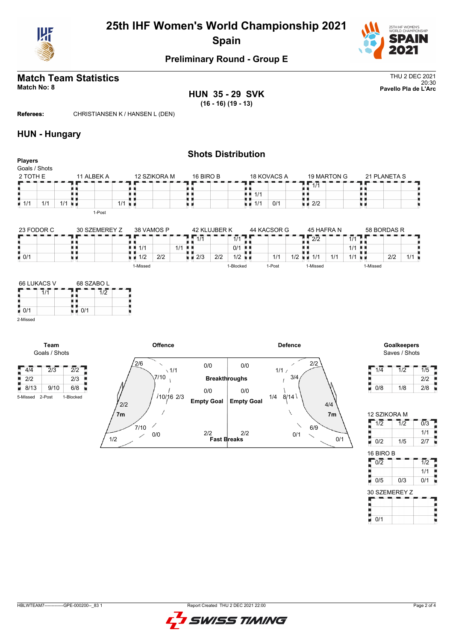



## **Preliminary Round - Group E**

#### **Match Team Statistics** Thus and the statistics of the statistics of the statistics of the statistics of the statistics of the statistics of the statistics of the statistics of the statistics of the statistics of the stati 20:30 **Match No: 8 Pavello Pla de L'Arc**

**HUN 35 - 29 SVK (16 - 16) (19 - 13)**

**Referees:** CHRISTIANSEN K / HANSEN L (DEN)

#### **HUN - Hungary**

| <b>Players</b>            |                      |                        | <b>Shots Distribution</b> |                   |             |              |  |
|---------------------------|----------------------|------------------------|---------------------------|-------------------|-------------|--------------|--|
| Goals / Shots             |                      |                        |                           |                   |             |              |  |
| 2 TOTH E                  | 11 ALBEK A           | 12 SZIKORA M           | 16 BIRO B                 | 18 KOVACS A       | 19 MARTON G | 21 PLANETA S |  |
|                           |                      |                        |                           |                   | 1/1         |              |  |
|                           |                      |                        |                           | 1/1<br>. .        |             |              |  |
| $\blacksquare$ 1/1<br>1/1 | $1/1$ $\blacksquare$ | $1/1$ u $\blacksquare$ |                           | 0/1<br>1/1<br>н и | 2/2<br>n ei |              |  |
|                           | 1-Post               |                        |                           |                   |             |              |  |
| 23 EODOR C.               | 30 SZEMEREY Z        | 38 VAMOS P             | 42 KILLIRER K             | 44 KACSOR G       | 45 HAFRA N  | 58 RORDAS R  |  |

| 23 FODOR C         | 30 SZEMEREY Z | 38 VAMOS P |     | 42 KI UJBER K               | 44 KACSOR G | 45 HAFRA N        | 58 BORDAS R         |     |
|--------------------|---------------|------------|-----|-----------------------------|-------------|-------------------|---------------------|-----|
|                    |               |            | 1/1 | <b>A</b> <i>IA</i><br>      |             | רור<br>212        | 414<br>$\mathbf{L}$ |     |
|                    |               | 1/1        | 1/1 | 0/1<br>- 8. 8               |             |                   | 1/1                 |     |
| $\blacksquare$ 0/1 |               | 2/2<br>1/2 | 2/3 | 2/2<br>$1/2$ $\blacksquare$ | 1/1         | 1/1<br>1/2<br>11' | 1/1<br>2/2          | 111 |
|                    |               | 1-Missed   |     | I-Blocked                   | 1-Post      | 1-Missed          | i-Missed            |     |



**Team** Goals / Shots

B



Saves / Shots

| 1/4 | 1/2 | 1/5 |
|-----|-----|-----|
|     |     | 2/2 |
| 0/8 | 1/8 | 2/8 |

12 SZIKORA M  $1/2$   $1/2$   $0/3$ 

 $\frac{1}{\sqrt{1}}$  0/1

|               |     | 1/1              |
|---------------|-----|------------------|
| 0/2           | 1/5 | 2/7              |
| 16 BIRO B     |     |                  |
| 0/2           |     | $\overline{1/2}$ |
|               |     | 1/1              |
| 0/5           | 0/3 | 0/1              |
| 30 SZEMEREY Z |     |                  |
|               |     |                  |

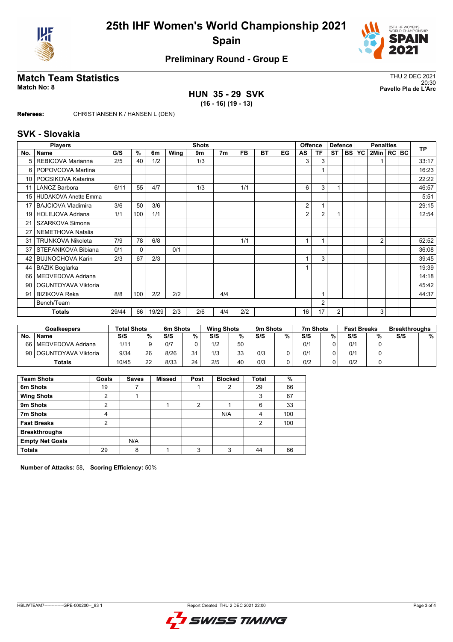



## **Preliminary Round - Group E**

## **Match Team Statistics** Thus and the statistics of the statistics of the statistics of the statistics of the statistics of the statistics of the statistics of the statistics of the statistics of the statistics of the stati

**HUN 35 - 29 SVK (16 - 16) (19 - 13)**

20:30 **Match No: 8 Pavello Pla de L'Arc**

**Referees:** CHRISTIANSEN K / HANSEN L (DEN)

#### **SVK - Slovakia**

|                 | <b>Players</b>              | <b>Shots</b> |             |       |      |     |                |           |           |    | <b>Offence</b><br><b>Defence</b> |                | <b>Penalties</b> |            |           |              | <b>TP</b> |  |       |
|-----------------|-----------------------------|--------------|-------------|-------|------|-----|----------------|-----------|-----------|----|----------------------------------|----------------|------------------|------------|-----------|--------------|-----------|--|-------|
| No.             | <b>Name</b>                 | G/S          | %           | 6m    | Wing | 9m  | 7 <sub>m</sub> | <b>FB</b> | <b>BT</b> | EG | AS                               | <b>TF</b>      | <b>ST</b>        | <b>BSI</b> | <b>YC</b> | 2Min   RC BC |           |  |       |
| 5               | REBICOVA Marianna           | 2/5          | 40          | 1/2   |      | 1/3 |                |           |           |    | 3                                | 3              |                  |            |           |              |           |  | 33:17 |
| 6               | POPOVCOVA Martina           |              |             |       |      |     |                |           |           |    |                                  |                |                  |            |           |              |           |  | 16:23 |
| 10              | POCSIKOVA Katarina          |              |             |       |      |     |                |           |           |    |                                  |                |                  |            |           |              |           |  | 22:22 |
| 11              | <b>LANCZ Barbora</b>        | 6/11         | 55          | 4/7   |      | 1/3 |                | 1/1       |           |    | 6                                | 3              |                  |            |           |              |           |  | 46:57 |
| 15 <sup>1</sup> | <b>HUDAKOVA Anette Emma</b> |              |             |       |      |     |                |           |           |    |                                  |                |                  |            |           |              |           |  | 5:51  |
| 17              | <b>BAJCIOVA Vladimira</b>   | 3/6          | 50          | 3/6   |      |     |                |           |           |    | 2                                |                |                  |            |           |              |           |  | 29:15 |
| 19 <sub>1</sub> | HOLEJOVA Adriana            | 1/1          | 100         | 1/1   |      |     |                |           |           |    | 2                                | $\overline{2}$ | 1                |            |           |              |           |  | 12:54 |
| 21              | SZARKOVA Simona             |              |             |       |      |     |                |           |           |    |                                  |                |                  |            |           |              |           |  |       |
| 27              | NEMETHOVA Natalia           |              |             |       |      |     |                |           |           |    |                                  |                |                  |            |           |              |           |  |       |
| 31              | <b>TRUNKOVA Nikoleta</b>    | 7/9          | 78          | 6/8   |      |     |                | 1/1       |           |    |                                  |                |                  |            |           | 2            |           |  | 52:52 |
| 37              | STEFANIKOVA Bibiana         | 0/1          | $\mathbf 0$ |       | 0/1  |     |                |           |           |    |                                  |                |                  |            |           |              |           |  | 36:08 |
| 42              | <b>BUJNOCHOVA Karin</b>     | 2/3          | 67          | 2/3   |      |     |                |           |           |    |                                  | 3              |                  |            |           |              |           |  | 39:45 |
| 44              | <b>BAZIK Boglarka</b>       |              |             |       |      |     |                |           |           |    |                                  |                |                  |            |           |              |           |  | 19:39 |
| 66 l            | MEDVEDOVA Adriana           |              |             |       |      |     |                |           |           |    |                                  |                |                  |            |           |              |           |  | 14:18 |
| 90              | OGUNTOYAVA Viktoria         |              |             |       |      |     |                |           |           |    |                                  |                |                  |            |           |              |           |  | 45:42 |
| 91              | <b>BIZIKOVA Reka</b>        | 8/8          | 100         | 2/2   | 2/2  |     | 4/4            |           |           |    |                                  | 1              |                  |            |           |              |           |  | 44:37 |
|                 | Bench/Team                  |              |             |       |      |     |                |           |           |    |                                  | $\overline{2}$ |                  |            |           |              |           |  |       |
|                 | <b>Totals</b>               | 29/44        | 66          | 19/29 | 2/3  | 2/6 | 4/4            | 2/2       |           |    | 16                               | 17             | $\overline{2}$   |            |           | 3            |           |  |       |

|           | <b>Goalkeepers</b>       | <b>Total Shots</b> |    | 6m Shots |    | <b>Wing Shots</b> |    | 9 <sub>m</sub> Shots |   | 7m Shots |   | <b>Fast Breaks</b> |     | <b>Breakthroughs</b> |   |
|-----------|--------------------------|--------------------|----|----------|----|-------------------|----|----------------------|---|----------|---|--------------------|-----|----------------------|---|
| <b>No</b> | <b>Name</b>              | S/S                | %. | S/S      | %  | S/S               | %  | S/S                  | % | S/S      | % | S/S                | 0/2 | S/S                  | % |
|           | 66   MEDVEDOVA Adriana   | 1/11               |    | 0/7      |    | 1/2               | 50 |                      |   | 0/1      |   | 0/1                |     |                      |   |
|           | 90   OGUNTOYAVA Viktoria | 9/34               | 26 | 8/26     | 31 | 1/3               | 33 | 0/3                  |   | 0/1      |   | 0/1                |     |                      |   |
|           | <b>Totals</b>            | 10/45              | つつ | 8/33     | 24 | 2/5               | 40 | 0/3                  |   | 0/2      |   | 0/2                |     |                      |   |

| <b>Team Shots</b>      | Goals | <b>Saves</b> | <b>Missed</b> | Post | <b>Blocked</b> | <b>Total</b> | %   |
|------------------------|-------|--------------|---------------|------|----------------|--------------|-----|
| 6m Shots               | 19    |              |               |      | 2              | 29           | 66  |
| <b>Wing Shots</b>      | າ     |              |               |      |                | 3            | 67  |
| 9m Shots               | 2     |              |               | 2    |                | 6            | 33  |
| 7m Shots               | 4     |              |               |      | N/A            | 4            | 100 |
| <b>Fast Breaks</b>     | 2     |              |               |      |                | 2            | 100 |
| <b>Breakthroughs</b>   |       |              |               |      |                |              |     |
| <b>Empty Net Goals</b> |       | N/A          |               |      |                |              |     |
| <b>Totals</b>          | 29    | 8            |               | 3    | 3              | 44           | 66  |

**Number of Attacks:** 58, **Scoring Efficiency:** 50%